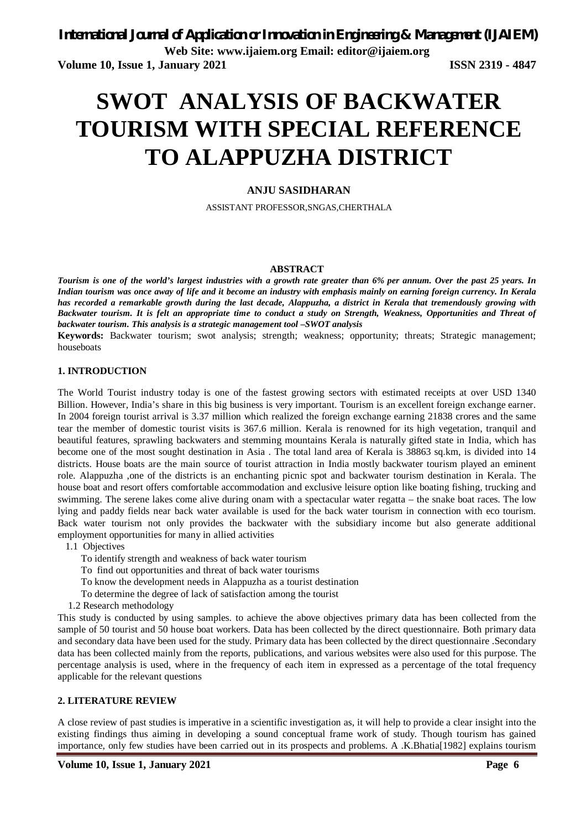# **SWOT ANALYSIS OF BACKWATER TOURISM WITH SPECIAL REFERENCE TO ALAPPUZHA DISTRICT**

## **ANJU SASIDHARAN**

ASSISTANT PROFESSOR,SNGAS,CHERTHALA

#### **ABSTRACT**

*Tourism is one of the world's largest industries with a growth rate greater than 6% per annum. Over the past 25 years. In Indian tourism was once away of life and it become an industry with emphasis mainly on earning foreign currency. In Kerala has recorded a remarkable growth during the last decade, Alappuzha, a district in Kerala that tremendously growing with Backwater tourism. It is felt an appropriate time to conduct a study on Strength, Weakness, Opportunities and Threat of backwater tourism. This analysis is a strategic management tool –SWOT analysis*

**Keywords:** Backwater tourism; swot analysis; strength; weakness; opportunity; threats; Strategic management; houseboats

#### **1. INTRODUCTION**

The World Tourist industry today is one of the fastest growing sectors with estimated receipts at over USD 1340 Billion. However, India's share in this big business is very important. Tourism is an excellent foreign exchange earner. In 2004 foreign tourist arrival is 3.37 million which realized the foreign exchange earning 21838 crores and the same tear the member of domestic tourist visits is 367.6 million. Kerala is renowned for its high vegetation, tranquil and beautiful features, sprawling backwaters and stemming mountains Kerala is naturally gifted state in India, which has become one of the most sought destination in Asia . The total land area of Kerala is 38863 sq.km, is divided into 14 districts. House boats are the main source of tourist attraction in India mostly backwater tourism played an eminent role. Alappuzha ,one of the districts is an enchanting picnic spot and backwater tourism destination in Kerala. The house boat and resort offers comfortable accommodation and exclusive leisure option like boating fishing, trucking and swimming. The serene lakes come alive during onam with a spectacular water regatta – the snake boat races. The low lying and paddy fields near back water available is used for the back water tourism in connection with eco tourism. Back water tourism not only provides the backwater with the subsidiary income but also generate additional employment opportunities for many in allied activities

- 1.1 Objectives
	- To identify strength and weakness of back water tourism
	- To find out opportunities and threat of back water tourisms
	- To know the development needs in Alappuzha as a tourist destination
	- To determine the degree of lack of satisfaction among the tourist
- 1.2 Research methodology

This study is conducted by using samples. to achieve the above objectives primary data has been collected from the sample of 50 tourist and 50 house boat workers. Data has been collected by the direct questionnaire. Both primary data and secondary data have been used for the study. Primary data has been collected by the direct questionnaire .Secondary data has been collected mainly from the reports, publications, and various websites were also used for this purpose. The percentage analysis is used, where in the frequency of each item in expressed as a percentage of the total frequency applicable for the relevant questions

#### **2. LITERATURE REVIEW**

A close review of past studies is imperative in a scientific investigation as, it will help to provide a clear insight into the existing findings thus aiming in developing a sound conceptual frame work of study. Though tourism has gained importance, only few studies have been carried out in its prospects and problems. A .K.Bhatia[1982] explains tourism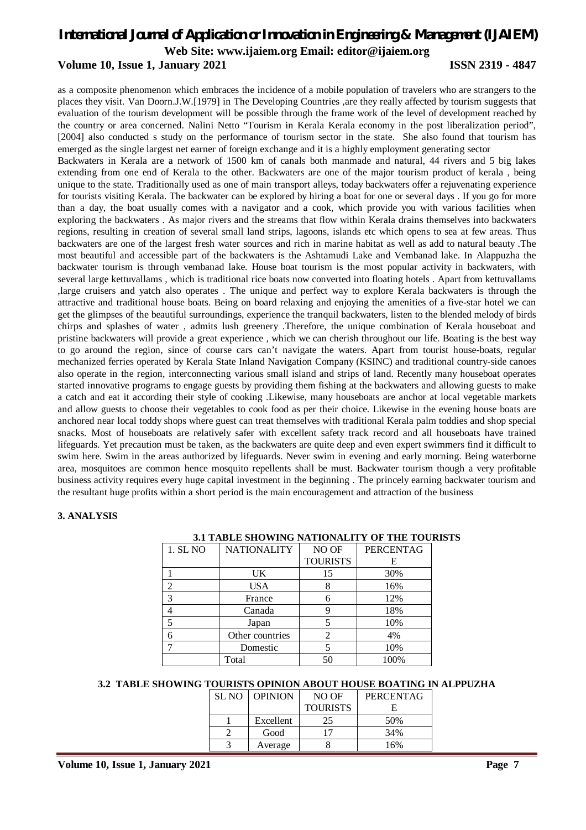## **Volume 10, Issue 1, January 2021 ISSN 2319 - 4847**

as a composite phenomenon which embraces the incidence of a mobile population of travelers who are strangers to the places they visit. Van Doorn.J.W.[1979] in The Developing Countries ,are they really affected by tourism suggests that evaluation of the tourism development will be possible through the frame work of the level of development reached by the country or area concerned. Nalini Netto "Tourism in Kerala Kerala economy in the post liberalization period", [2004] also conducted s study on the performance of tourism sector in the state. She also found that tourism has emerged as the single largest net earner of foreign exchange and it is a highly employment generating sector

Backwaters in Kerala are a network of 1500 km of canals both manmade and natural, 44 rivers and 5 big lakes extending from one end of Kerala to the other. Backwaters are one of the major tourism product of kerala , being unique to the state. Traditionally used as one of main transport alleys, today backwaters offer a rejuvenating experience for tourists visiting Kerala. The backwater can be explored by hiring a boat for one or several days . If you go for more than a day, the boat usually comes with a navigator and a cook, which provide you with various facilities when exploring the backwaters . As major rivers and the streams that flow within Kerala drains themselves into backwaters regions, resulting in creation of several small land strips, lagoons, islands etc which opens to sea at few areas. Thus backwaters are one of the largest fresh water sources and rich in marine habitat as well as add to natural beauty .The most beautiful and accessible part of the backwaters is the Ashtamudi Lake and Vembanad lake. In Alappuzha the backwater tourism is through vembanad lake. House boat tourism is the most popular activity in backwaters, with several large kettuvallams , which is traditional rice boats now converted into floating hotels . Apart from kettuvallams ,large cruisers and yatch also operates . The unique and perfect way to explore Kerala backwaters is through the attractive and traditional house boats. Being on board relaxing and enjoying the amenities of a five-star hotel we can get the glimpses of the beautiful surroundings, experience the tranquil backwaters, listen to the blended melody of birds chirps and splashes of water , admits lush greenery .Therefore, the unique combination of Kerala houseboat and pristine backwaters will provide a great experience , which we can cherish throughout our life. Boating is the best way to go around the region, since of course cars can't navigate the waters. Apart from tourist house-boats, regular mechanized ferries operated by Kerala State Inland Navigation Company (KSINC) and traditional country-side canoes also operate in the region, interconnecting various small island and strips of land. Recently many houseboat operates started innovative programs to engage guests by providing them fishing at the backwaters and allowing guests to make a catch and eat it according their style of cooking .Likewise, many houseboats are anchor at local vegetable markets and allow guests to choose their vegetables to cook food as per their choice. Likewise in the evening house boats are anchored near local toddy shops where guest can treat themselves with traditional Kerala palm toddies and shop special snacks. Most of houseboats are relatively safer with excellent safety track record and all houseboats have trained lifeguards. Yet precaution must be taken, as the backwaters are quite deep and even expert swimmers find it difficult to swim here. Swim in the areas authorized by lifeguards. Never swim in evening and early morning. Being waterborne area, mosquitoes are common hence mosquito repellents shall be must. Backwater tourism though a very profitable business activity requires every huge capital investment in the beginning . The princely earning backwater tourism and the resultant huge profits within a short period is the main encouragement and attraction of the business

#### **3. ANALYSIS**

|          | 3.1 TABLE SHOWING NATIONALITY OF THE TOON |                 |           |  |
|----------|-------------------------------------------|-----------------|-----------|--|
| 1. SL NO | <b>NATIONALITY</b>                        | NO OF           | PERCENTAG |  |
|          |                                           | <b>TOURISTS</b> | E.        |  |
|          | UK                                        | 15              | 30%       |  |
| 2        | <b>USA</b>                                |                 | 16%       |  |
| 3        | France                                    |                 | 12%       |  |
|          | Canada                                    |                 | 18%       |  |
|          | Japan                                     |                 | 10%       |  |
|          | Other countries                           | 2               | 4%        |  |
|          | Domestic                                  |                 | 10%       |  |
|          | Total                                     | 50              | 100%      |  |

#### **3.1 TABLE SHOWING NATIONALITY OF THE TOURISTS**

#### **3.2 TABLE SHOWING TOURISTS OPINION ABOUT HOUSE BOATING IN ALPPUZHA**

| SL NO | <b>OPINION</b> | NO OF           | <b>PERCENTAG</b> |
|-------|----------------|-----------------|------------------|
|       |                | <b>TOURISTS</b> |                  |
|       | Excellent      | 25              | 50%              |
|       | Good           |                 | 34%              |
|       | Average        |                 | 16%              |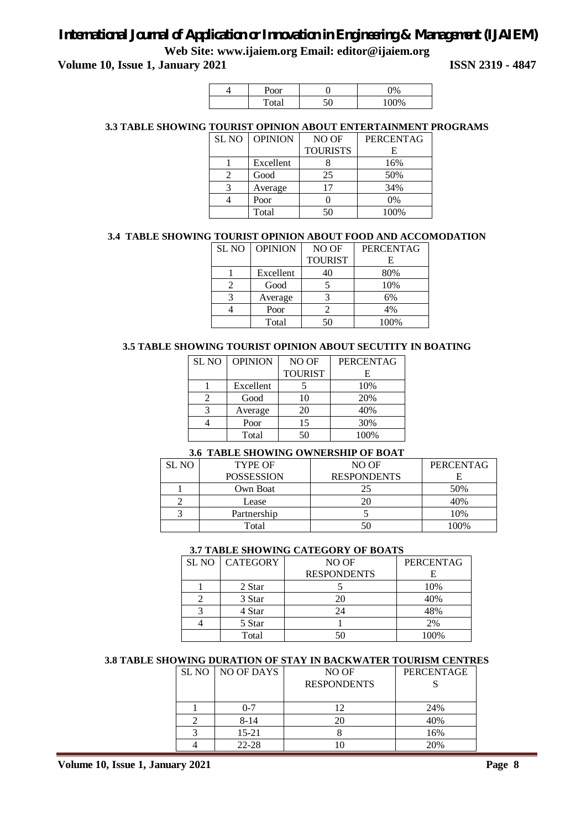**Volume 10, Issue 1, January 2021 ISSN 2319 - 4847** 

| $\sim$ $\sim$ $\sim$<br>ЮΙ<br>v |         | $\Omega$ |
|---------------------------------|---------|----------|
|                                 | 50<br>v | 100%     |

## **3.3 TABLE SHOWING TOURIST OPINION ABOUT ENTERTAINMENT PROGRAMS**

| <b>SL NO</b> | <b>OPINION</b> | NO OF           | <b>PERCENTAG</b> |
|--------------|----------------|-----------------|------------------|
|              |                | <b>TOURISTS</b> | F.               |
|              | Excellent      |                 | 16%              |
|              | Good           | 25              | 50%              |
| 3            | Average        | 17              | 34%              |
|              | Poor           |                 | 0%               |
|              | Total          | 50              | 100%             |

## **3.4 TABLE SHOWING TOURIST OPINION ABOUT FOOD AND ACCOMODATION**

| SL <sub>NO</sub> | <b>OPINION</b> | NO OF          | <b>PERCENTAG</b> |
|------------------|----------------|----------------|------------------|
|                  |                | <b>TOURIST</b> | F.               |
|                  | Excellent      | 40             | 80%              |
|                  | Good           |                | 10%              |
|                  | Average        |                | 6%               |
|                  | Poor           |                | 4%               |
|                  | Total          | 50             | 100%             |

#### **3.5 TABLE SHOWING TOURIST OPINION ABOUT SECUTITY IN BOATING**

| <b>SL NO</b> | <b>OPINION</b> | NO OF          | <b>PERCENTAG</b> |
|--------------|----------------|----------------|------------------|
|              |                | <b>TOURIST</b> | Е                |
|              | Excellent      |                | 10%              |
|              | Good           | 10             | 20%              |
|              | Average        | 20             | 40%              |
|              | Poor           | 15             | 30%              |
|              | Total          | 50             | 100%             |

### **3.6 TABLE SHOWING OWNERSHIP OF BOAT**

| SL NO | <b>TYPE OF</b>    | NO OF              | <b>PERCENTAG</b> |
|-------|-------------------|--------------------|------------------|
|       | <b>POSSESSION</b> | <b>RESPONDENTS</b> |                  |
|       | Own Boat          | 25                 | 50%              |
|       | Lease             |                    | 40%              |
|       | Partnership       |                    | 10%              |
|       | Total             |                    | 100%             |

#### **3.7 TABLE SHOWING CATEGORY OF BOATS**

| <b>SL NO   CATEGORY</b> | NO OF              | <b>PERCENTAG</b> |
|-------------------------|--------------------|------------------|
|                         | <b>RESPONDENTS</b> |                  |
| 2 Star                  |                    | 10%              |
| 3 Star                  | 20                 | 40%              |
| 4 Star                  | 24                 | 48%              |
| 5 Star                  |                    | 2%               |
| Total                   |                    | 100%             |

#### **3.8 TABLE SHOWING DURATION OF STAY IN BACKWATER TOURISM CENTRES**

|  | SL NO   NO OF DAYS | NO OF              | PERCENTAGE |
|--|--------------------|--------------------|------------|
|  |                    | <b>RESPONDENTS</b> |            |
|  |                    |                    |            |
|  | በ-7                |                    | 24%        |
|  | $8 - 14$           |                    | 40%        |
|  | $15 - 21$          |                    | 16%        |
|  | $22 - 28$          |                    | 20%        |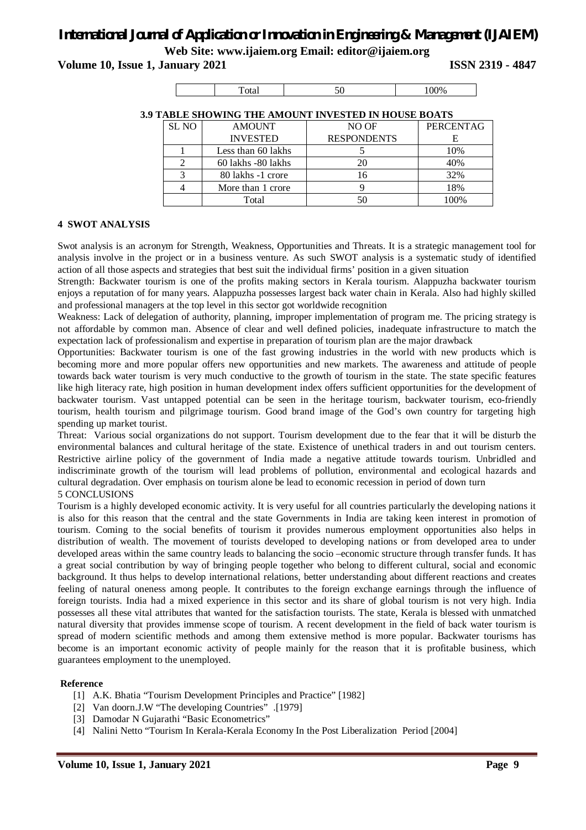**Volume 10, Issue 1, January 2021 ISSN 2319 - 4847** 

| . |  |  |
|---|--|--|
|---|--|--|

| TABLE SHOWING THE AMOUNT INVESTED IN HOUSE BOATS |                    |                    |                  |  |
|--------------------------------------------------|--------------------|--------------------|------------------|--|
| SL <sub>NO</sub>                                 | <b>AMOUNT</b>      | NO OF              | <b>PERCENTAG</b> |  |
|                                                  | <b>INVESTED</b>    | <b>RESPONDENTS</b> | E                |  |
|                                                  | Less than 60 lakhs |                    | 10%              |  |
|                                                  | 60 lakhs -80 lakhs | 20                 | 40%              |  |
|                                                  | 80 lakhs -1 crore  | 16                 | 32%              |  |
|                                                  | More than 1 crore  |                    | 18%              |  |
|                                                  | Total              |                    | 00%              |  |

#### **3.9 TABLE SHOWING THE AMOUNT INVESTED IN HOUSE BOATS**

## **4 SWOT ANALYSIS**

Swot analysis is an acronym for Strength, Weakness, Opportunities and Threats. It is a strategic management tool for analysis involve in the project or in a business venture. As such SWOT analysis is a systematic study of identified action of all those aspects and strategies that best suit the individual firms' position in a given situation

Strength: Backwater tourism is one of the profits making sectors in Kerala tourism. Alappuzha backwater tourism enjoys a reputation of for many years. Alappuzha possesses largest back water chain in Kerala. Also had highly skilled and professional managers at the top level in this sector got worldwide recognition

Weakness: Lack of delegation of authority, planning, improper implementation of program me. The pricing strategy is not affordable by common man. Absence of clear and well defined policies, inadequate infrastructure to match the expectation lack of professionalism and expertise in preparation of tourism plan are the major drawback

Opportunities: Backwater tourism is one of the fast growing industries in the world with new products which is becoming more and more popular offers new opportunities and new markets. The awareness and attitude of people towards back water tourism is very much conductive to the growth of tourism in the state. The state specific features like high literacy rate, high position in human development index offers sufficient opportunities for the development of backwater tourism. Vast untapped potential can be seen in the heritage tourism, backwater tourism, eco-friendly tourism, health tourism and pilgrimage tourism. Good brand image of the God's own country for targeting high spending up market tourist.

Threat: Various social organizations do not support. Tourism development due to the fear that it will be disturb the environmental balances and cultural heritage of the state. Existence of unethical traders in and out tourism centers. Restrictive airline policy of the government of India made a negative attitude towards tourism. Unbridled and indiscriminate growth of the tourism will lead problems of pollution, environmental and ecological hazards and cultural degradation. Over emphasis on tourism alone be lead to economic recession in period of down turn 5 CONCLUSIONS

Tourism is a highly developed economic activity. It is very useful for all countries particularly the developing nations it is also for this reason that the central and the state Governments in India are taking keen interest in promotion of tourism. Coming to the social benefits of tourism it provides numerous employment opportunities also helps in distribution of wealth. The movement of tourists developed to developing nations or from developed area to under developed areas within the same country leads to balancing the socio –economic structure through transfer funds. It has a great social contribution by way of bringing people together who belong to different cultural, social and economic background. It thus helps to develop international relations, better understanding about different reactions and creates feeling of natural oneness among people. It contributes to the foreign exchange earnings through the influence of foreign tourists. India had a mixed experience in this sector and its share of global tourism is not very high. India possesses all these vital attributes that wanted for the satisfaction tourists. The state, Kerala is blessed with unmatched natural diversity that provides immense scope of tourism. A recent development in the field of back water tourism is spread of modern scientific methods and among them extensive method is more popular. Backwater tourisms has become is an important economic activity of people mainly for the reason that it is profitable business, which guarantees employment to the unemployed.

#### **Reference**

- [1] A.K. Bhatia "Tourism Development Principles and Practice" [1982]
- [2] Van doorn.J.W "The developing Countries" .[1979]
- [3] Damodar N Gujarathi "Basic Econometrics"
- [4] Nalini Netto "Tourism In Kerala-Kerala Economy In the Post Liberalization Period [2004]